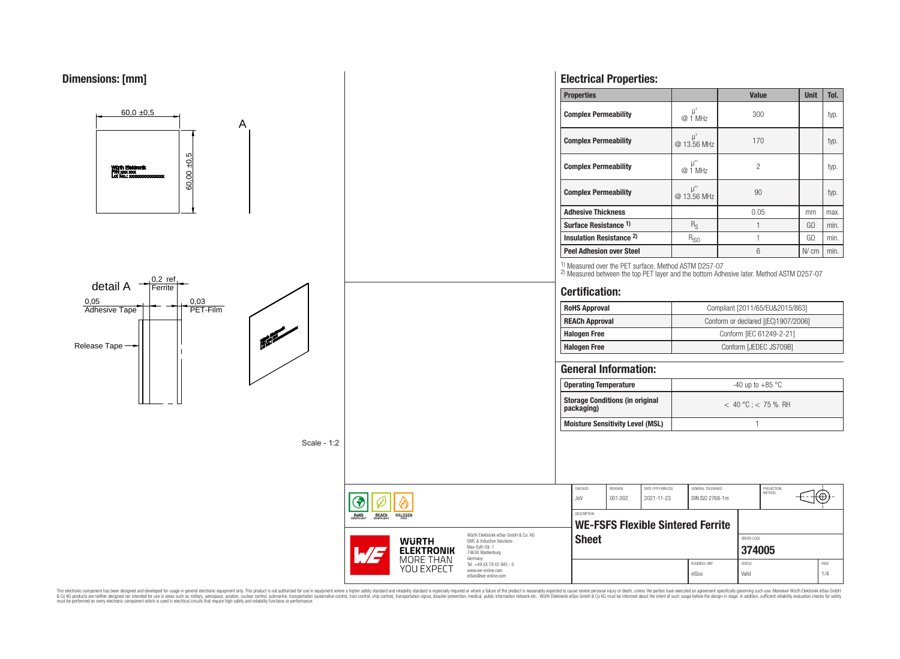

This electronic component has been designed and developed for usage in general electronic equipment only. This product is not authorized for use in equipment where a higher safely standard and reliability standard si espec & Ook product a label and the membed of the seasuch as marked and as which such a membed and the such assume that income in the seasuch and the simulation and the such assume that include to the such a membed and the such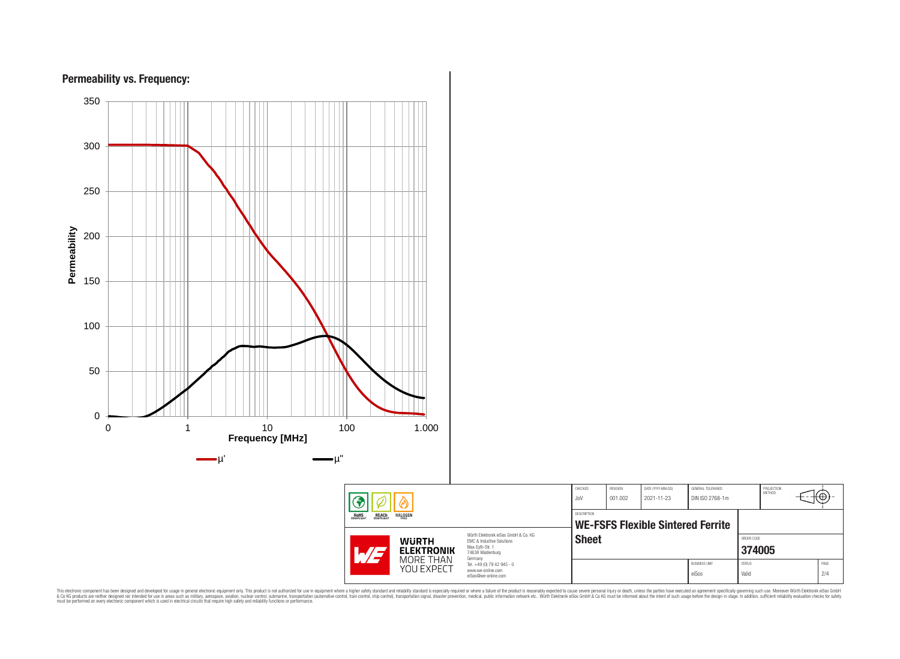

This electronic component has been designed and developed for usage in general electronic equipment only. This product is not authorized for subserved requipment where a higher selection equipment where a higher selection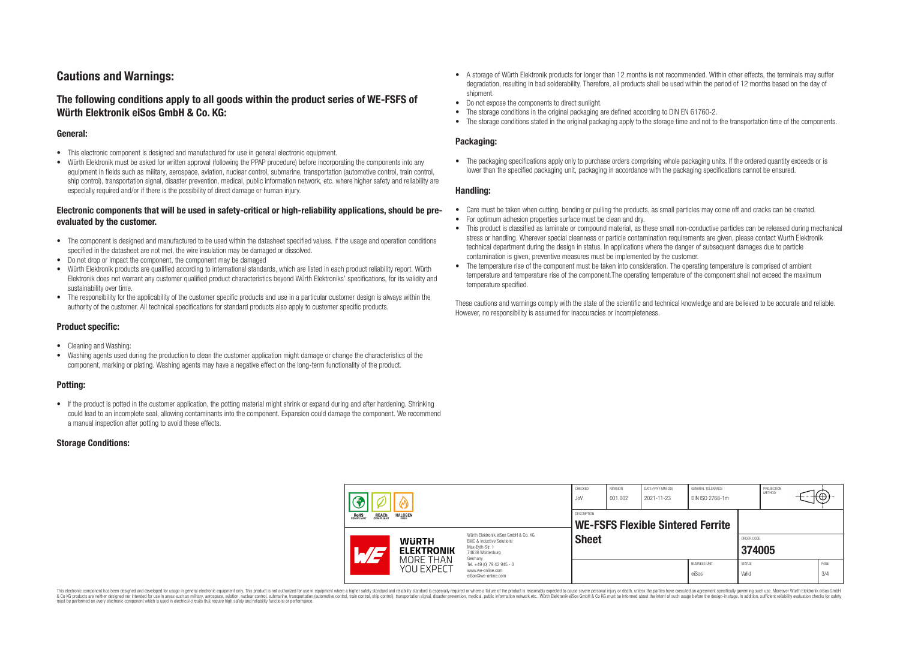# **Cautions and Warnings:**

# **The following conditions apply to all goods within the product series of WE-FSFS of Würth Elektronik eiSos GmbH & Co. KG:**

#### **General:**

- This electronic component is designed and manufactured for use in general electronic equipment.
- Würth Elektronik must be asked for written approval (following the PPAP procedure) before incorporating the components into any equipment in fields such as military, aerospace, aviation, nuclear control, submarine, transportation (automotive control, train control, ship control), transportation signal, disaster prevention, medical, public information network, etc. where higher safety and reliability are especially required and/or if there is the possibility of direct damage or human injury.

# **Electronic components that will be used in safety-critical or high-reliability applications, should be preevaluated by the customer.**

- The component is designed and manufactured to be used within the datasheet specified values. If the usage and operation conditions specified in the datasheet are not met, the wire insulation may be damaged or dissolved.
- Do not drop or impact the component, the component may be damaged
- Würth Elektronik products are qualified according to international standards, which are listed in each product reliability report. Würth Elektronik does not warrant any customer qualified product characteristics beyond Würth Elektroniks' specifications, for its validity and sustainability over time.
- The responsibility for the applicability of the customer specific products and use in a particular customer design is always within the authority of the customer. All technical specifications for standard products also apply to customer specific products.

### **Product specific:**

- Cleaning and Washing:
- Washing agents used during the production to clean the customer application might damage or change the characteristics of the component, marking or plating. Washing agents may have a negative effect on the long-term functionality of the product.

### **Potting:**

• If the product is potted in the customer application, the potting material might shrink or expand during and after hardening. Shrinking could lead to an incomplete seal, allowing contaminants into the component. Expansion could damage the component. We recommend a manual inspection after potting to avoid these effects.

### **Storage Conditions:**

- A storage of Würth Elektronik products for longer than 12 months is not recommended. Within other effects, the terminals may suffer degradation, resulting in bad solderability. Therefore, all products shall be used within the period of 12 months based on the day of shipment.
- Do not expose the components to direct sunlight.
- The storage conditions in the original packaging are defined according to DIN EN 61760-2.
- The storage conditions stated in the original packaging apply to the storage time and not to the transportation time of the components.

# **Packaging:**

• The packaging specifications apply only to purchase orders comprising whole packaging units. If the ordered quantity exceeds or is lower than the specified packaging unit, packaging in accordance with the packaging specifications cannot be ensured.

#### **Handling:**

- Care must be taken when cutting, bending or pulling the products, as small particles may come off and cracks can be created.
- For optimum adhesion properties surface must be clean and dry.
- This product is classified as laminate or compound material, as these small non-conductive particles can be released during mechanical stress or handling. Wherever special cleanness or particle contamination requirements are given, please contact Wurth Elektronik technical department during the design in status. In applications where the danger of subsequent damages due to particle contamination is given, preventive measures must be implemented by the customer.
- The temperature rise of the component must be taken into consideration. The operating temperature is comprised of ambient temperature and temperature rise of the component.The operating temperature of the component shall not exceed the maximum temperature specified.

These cautions and warnings comply with the state of the scientific and technical knowledge and are believed to be accurate and reliable. However, no responsibility is assumed for inaccuracies or incompleteness.

|                                                       | 7 |                                                              | CHECKED<br>JoV                                                                                                                                                                                | <b>REVISION</b><br>001.002 | DATE (YYYY-MM-DD)<br>2021-11-23                  | GENERAL TOLERANCE<br>DIN ISO 2768-1m |                               | PROJECTION<br>METHOD   |  | ιΨ |             |
|-------------------------------------------------------|---|--------------------------------------------------------------|-----------------------------------------------------------------------------------------------------------------------------------------------------------------------------------------------|----------------------------|--------------------------------------------------|--------------------------------------|-------------------------------|------------------------|--|----|-------------|
| <b>ROHS</b><br>COMPLIANT<br><b>REACH</b><br>COMPLIANT |   | <b>HALOGEN</b>                                               |                                                                                                                                                                                               |                            | DESCRIPTION<br>WE-FSFS Flexible Sintered Ferrite |                                      |                               |                        |  |    |             |
|                                                       |   | <b>WURTH</b><br><b>ELEKTRONIK</b><br>MORE THAN<br>YOU EXPECT | Würth Elektronik eiSos GmbH & Co. KG<br>EMC & Inductive Solutions<br>Max-Eyth-Str. 1<br>74638 Waldenburg<br>Germany<br>Tel. +49 (0) 79 42 945 - 0<br>www.we-online.com<br>eiSos@we-online.com | <b>Sheet</b>               |                                                  |                                      |                               | ORDER CODE<br>374005   |  |    |             |
|                                                       |   |                                                              |                                                                                                                                                                                               |                            |                                                  |                                      | <b>BUSINESS UNIT</b><br>eiSos | <b>STATUS</b><br>Valid |  |    | PAGE<br>3/4 |

This electronic component has been designed and developed for usage in general electronic equipment only. This product is not authorized for use in equipment where a higher safety standard and reliability standard si espec & Ook product a label and the membed of the seasuch as marked and as which such a membed and the such assume that income in the seasuch and the simulation and the such assume that include to the such a membed and the such